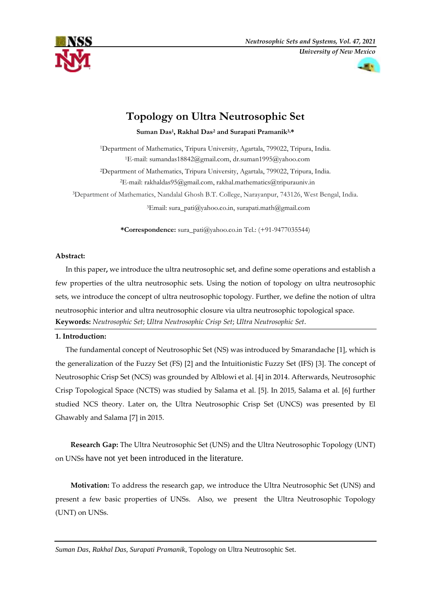



# **Topology on Ultra Neutrosophic Set**

**Suman Das<sup>1</sup> , Rakhal Das<sup>2</sup> and Surapati Pramanik3,\***

Department of Mathematics, Tripura University, Agartala, 799022, Tripura, India. E-mail: [sumandas18842@gmail.com,](mailto:sumandas18842@gmail.com) dr.suman1995@yahoo.com Department of Mathematics, Tripura University, Agartala, 799022, Tripura, India. E-mail: [rakhaldas95@gmail.com,](mailto:rakhaldas95@gmail.com) [rakhal.mathematics@tripurauniv.in](mailto:rakhal.mathematics@tripurauniv.in) Department of Mathematics, Nandalal Ghosh B.T. College, Narayanpur, 743126, West Bengal, India. Email: [sura\\_pati@yahoo.co.in,](mailto:%20sura_pati@yahoo.co.in) surapati.math@gmail.com

**\*Correspondence:** [sura\\_pati@yahoo.co.in](mailto:sura_pati@yahoo.co.in) Tel.: (+91-9477035544)

# **Abstract:**

In this paper**,** we introduce the ultra neutrosophic set, and define some operations and establish a few properties of the ultra neutrosophic sets. Using the notion of topology on ultra neutrosophic sets, we introduce the concept of ultra neutrosophic topology. Further, we define the notion of ultra neutrosophic interior and ultra neutrosophic closure via ultra neutrosophic topological space. **Keywords:** *Neutrosophic Set*; *Ultra Neutrosophic Crisp Set*; *Ultra Neutrosophic Set*.

# **1. Introduction:**

The fundamental concept of Neutrosophic Set (NS) was introduced by Smarandache [1], which is the generalization of the Fuzzy Set (FS) [2] and the Intuitionistic Fuzzy Set (IFS) [3]. The concept of Neutrosophic Crisp Set (NCS) was grounded by Alblowi et al. [4] in 2014. Afterwards, Neutrosophic Crisp Topological Space (NCTS) was studied by Salama et al. [5]. In 2015, Salama et al. [6] further studied NCS theory. Later on, the Ultra Neutrosophic Crisp Set (UNCS) was presented by El Ghawably and Salama [7] in 2015.

**Research Gap:** The Ultra Neutrosophic Set (UNS) and the Ultra Neutrosophic Topology (UNT) on UNSs have not yet been introduced in the literature.

**Motivation:** To address the research gap, we introduce the Ultra Neutrosophic Set (UNS) and present a few basic properties of UNSs. Also, we present the Ultra Neutrosophic Topology (UNT) on UNSs.

*Suman Das*, *Rakhal Das, Surapati Pramanik*, Topology on Ultra Neutrosophic Set.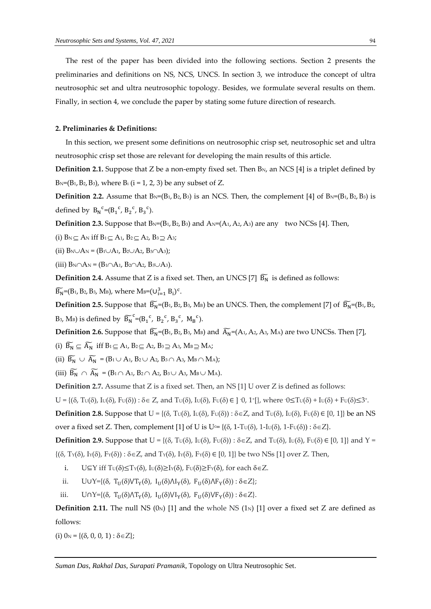The rest of the paper has been divided into the following sections. Section 2 presents the preliminaries and definitions on NS, NCS, UNCS. In section 3, we introduce the concept of ultra neutrosophic set and ultra neutrosophic topology. Besides, we formulate several results on them. Finally, in section 4, we conclude the paper by stating some future direction of research.

#### **2. Preliminaries & Definitions:**

In this section, we present some definitions on neutrosophic crisp set, neutrosophic set and ultra neutrosophic crisp set those are relevant for developing the main results of this article.

**Definition 2.1.** Suppose that Z be a non-empty fixed set. Then B<sub>N</sub>, an NCS [4] is a triplet defined by  $B_N=(B_1, B_2, B_3)$ , where  $B_i$  ( $i = 1, 2, 3$ ) be any subset of Z.

**Definition 2.2.** Assume that  $B_N = (B_1, B_2, B_3)$  is an NCS. Then, the complement [4] of  $B_N = (B_1, B_2, B_3)$  is defined by  $B_N^c = (B_1^c, B_2^c, B_3^c)$ .

**Definition 2.3.** Suppose that  $B_N = (B_1, B_2, B_3)$  and  $A_N = (A_1, A_2, A_3)$  are any two NCSs [4]. Then,

(i)  $B_N \subset A_N$  iff  $B_1 \subset A_1$ ,  $B_2 \subset A_2$ ,  $B_3 \supset A_3$ ;

(ii)  $B_N \cup A_N = (B_1 \cup A_1, B_2 \cup A_2, B_3 \cap A_3);$ 

(iii)  $B_N \cap A_N = (B_1 \cap A_1, B_2 \cap A_2, B_3 \cup A_3).$ 

**Definition 2.4.** Assume that Z is a fixed set. Then, an UNCS [7]  $\widetilde{B_N}$  is defined as follows:

 $\widetilde{B_N} = (B_1, B_2, B_3, M_B)$ , where  $M_B = (U_{i=1}^3 B_i)^c$ .

**Definition 2.5.** Suppose that  $\widetilde{B_N}=(B_1, B_2, B_3, M_B)$  be an UNCS. Then, the complement [7] of  $\widetilde{B_N}=(B_1, B_2, B_3, M_B)$ B<sub>3</sub>, M<sub>B</sub>) is defined by  $\widetilde{B_N}^c = (B_1{}^c, B_2{}^c, B_3{}^c, M_B{}^c)$ .

**Definition 2.6.** Suppose that  $\widetilde{B_N}=(B_1, B_2, B_3, M_B)$  and  $\widetilde{A_N}=(A_1, A_2, A_3, M_A)$  are two UNCSs. Then [7],

(i)  $\widetilde{B_N} \subseteq \widetilde{A_N}$  iff  $B_1 \subseteq A_1$ ,  $B_2 \subseteq A_2$ ,  $B_3 \supseteq A_3$ ,  $M_B \supseteq M_A$ ;

(ii)  $\widetilde{B_N} \cup \widetilde{A_N} = (B_1 \cup A_1, B_2 \cup A_2, B_3 \cap A_3, M_B \cap M_A);$ 

(iii)  $\widetilde{B_N} \cap \widetilde{A_N} = (B_1 \cap A_1, B_2 \cap A_2, B_3 \cup A_3, M_B \cup M_A).$ 

**Definition 2.7.** Assume that Z is a fixed set. Then, an NS [1] U over Z is defined as follows:

 $U = \{(\delta, T_U(\delta), I_U(\delta), F_U(\delta)) : \delta \in Z, \text{ and } T_U(\delta), I_U(\delta), F_U(\delta) \in ]0, 1^+[\}, \text{ where } 0 \leq T_U(\delta) + I_U(\delta) + F_U(\delta) \leq 3^+.$ 

**Definition 2.8.** Suppose that  $U = \{(\delta, T_U(\delta), I_U(\delta), F_U(\delta)) : \delta \in \mathbb{Z}$ , and  $T_U(\delta), I_U(\delta), F_U(\delta) \in [0, 1]\}$  be an NS

over a fixed set Z. Then, complement [1] of U is  $U = \{(\delta, 1-T\cup(\delta), 1-I\cup(\delta), 1-F\cup(\delta)) : \delta \in \mathbb{Z}\}.$ 

**Definition 2.9.** Suppose that  $U = \{(\delta, T_U(\delta), I_U(\delta), F_U(\delta)) : \delta \in Z$ , and  $T_U(\delta), I_U(\delta), F_U(\delta) \in [0, 1]\}$  and  $Y =$  $\{(\delta, T_Y(\delta), I_Y(\delta), F_Y(\delta)) : \delta \in \mathbb{Z}$ , and  $T_Y(\delta), I_Y(\delta), F_Y(\delta) \in [0, 1]\}$  be two NSs [1] over Z. Then,

- i. U⊆Y iff T $U(\delta) \leq T_Y(\delta)$ , I $U(\delta) \geq I_Y(\delta)$ , F $U(\delta) \geq F_Y(\delta)$ , for each  $\delta \in \mathbb{Z}$ .
- ii. U∪Y={ $(\delta, T_U(\delta) \vee T_Y(\delta), I_U(\delta) \wedge I_Y(\delta), F_U(\delta) \wedge F_Y(\delta)) : \delta \in Z$ };
- iii.  $U \cap Y = \{(\delta, T_U(\delta) \land T_V(\delta), I_U(\delta) \lor I_V(\delta), F_U(\delta) \lor F_V(\delta)) : \delta \in Z\}.$

**Definition 2.11.** The null NS  $(0_N)$  [1] and the whole NS  $(1_N)$  [1] over a fixed set Z are defined as follows:

(i)  $0_N = \{(\delta, 0, 0, 1) : \delta \in \mathbb{Z}\};$ 

*Suman Das*, *Rakhal Das*, *Surapati Pramanik*, Topology on Ultra Neutrosophic Set.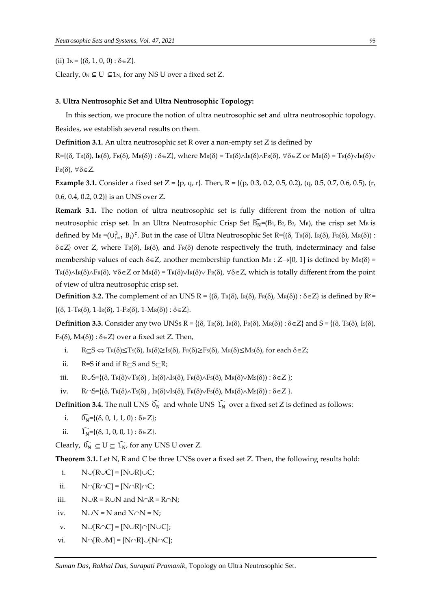(ii)  $1_N = \{(\delta, 1, 0, 0) : \delta \in \mathbb{Z}\}.$ 

Clearly,  $0_N \subseteq U \subseteq 1_N$ , for any NS U over a fixed set Z.

# **3. Ultra Neutrosophic Set and Ultra Neutrosophic Topology:**

In this section, we procure the notion of ultra neutrosophic set and ultra neutrosophic topology. Besides, we establish several results on them.

**Definition 3.1.** An ultra neutrosophic set R over a non-empty set Z is defined by

 $R=\{(\delta, \text{Tr}(\delta), \text{Tr}(\delta), \text{Tr}(\delta), \text{Mr}(\delta)) : \delta \in \mathbb{Z}\}\$ , where  $M_R(\delta) = \text{Tr}(\delta) \wedge \text{Tr}(\delta) \wedge \text{Tr}(\delta)$ ,  $\forall \delta \in \mathbb{Z}$  or  $M_R(\delta) = \text{Tr}(\delta) \vee \text{Tr}(\delta) \vee \text{Tr}(\delta)$  $F_{R}(\delta)$ ,  $\forall \delta \in Z$ .

**Example 3.1.** Consider a fixed set  $Z = \{p, q, r\}$ . Then,  $R = \{(p, 0.3, 0.2, 0.5, 0.2), (q, 0.5, 0.7, 0.6, 0.5), (r, 0.5, 0.7, 0.6, 0.7)\}$ 0.6, 0.4, 0.2, 0.2)} is an UNS over Z.

**Remark 3.1.** The notion of ultra neutrosophic set is fully different from the notion of ultra neutrosophic crisp set. In an Ultra Neutrosophic Crisp Set  $\widehat{B}_N=(B_1, B_2, B_3, M_B)$ , the crisp set  $M_B$  is defined by  $M_B = (U_{i=1}^3 B_i)^c$ . But in the case of Ultra Neutrosophic Set R={( $\delta$ , Tr( $\delta$ ), Ir( $\delta$ ), Fr( $\delta$ ), Mr( $\delta$ )) :  $\delta \in Z$ } over Z, where T<sub>R</sub>( $\delta$ ), I<sub>R</sub>( $\delta$ ), and F<sub>R</sub>( $\delta$ ) denote respectively the truth, indeterminacy and false membership values of each  $\delta \in Z$ , another membership function MR : Z $\rightarrow$ [0, 1] is defined by MR( $\delta$ ) =  $Tr(\delta)\wedge Tr(\delta)\wedge Fr(\delta)$ ,  $\forall \delta \in Z$  or  $M_R(\delta) = Tr(\delta)\vee Tr(\delta)$ ,  $\forall \delta \in Z$ , which is totally different from the point of view of ultra neutrosophic crisp set.

**Definition 3.2.** The complement of an UNS R = { $(\delta, T_R(\delta), I_R(\delta), F_R(\delta), M_R(\delta))$  :  $\delta \in Z$ } is defined by R<sup>c</sup> =  $\{(\delta, 1-\text{Tr}(\delta), 1-\text{Tr}(\delta), 1-\text{Fr}(\delta), 1-\text{Mr}(\delta)) : \delta \in \mathbb{Z}\}.$ 

**Definition 3.3.** Consider any two UNSs R = { $(\delta, T_R(\delta), T_R(\delta), F_R(\delta), M_R(\delta))$  :  $\delta \in Z$ } and S = { $(\delta, T_S(\delta), T_S(\delta), T_S(\delta))$ }  $F<sub>S</sub>(\delta)$ ,  $M<sub>S</sub>(\delta)$ ) :  $\delta \in Z$  over a fixed set Z. Then,

- i.  $R \subseteq S \Leftrightarrow T_R(\delta) \leq T_S(\delta)$ ,  $I_R(\delta) \geq I_S(\delta)$ ,  $F_R(\delta) \geq F_S(\delta)$ ,  $M_R(\delta) \leq M_S(\delta)$ , for each  $\delta \in Z$ ;
- ii. R=S if and if  $R \subseteq S$  and  $S \subseteq R$ ;
- iii.  $R \cup S=\{(\delta, T_R(\delta) \vee T_S(\delta), I_R(\delta) \wedge I_S(\delta), F_R(\delta) \wedge F_S(\delta), M_R(\delta) \vee M_S(\delta)) : \delta \in \mathbb{Z} \};$

iv.  $R \cap S = \{(\delta, \text{Tr}(\delta) \land \text{Tr}(\delta), \text{Tr}(\delta) \lor \text{Tr}(\delta), \text{Tr}(\delta) \lor \text{Tr}(\delta), \text{Tr}(\delta) \land \text{Tr}(\delta) \land \text{Tr}(\delta)) : \delta \in \mathbb{Z} \}.$ 

**Definition 3.4.** The null UNS  $\widehat{O_N}$  and whole UNS  $\widehat{I_N}$  over a fixed set Z is defined as follows:

- i.  $\widehat{0_N} = \{(\delta, 0, 1, 1, 0) : \delta \in \mathbb{Z}\};$
- ii.  $\widehat{I_N} = \{(\delta, 1, 0, 0, 1) : \delta \in Z\}.$

Clearly,  $\widehat{0_N} \subseteq U \subseteq \widehat{1_N}$ , for any UNS U over Z.

**Theorem 3.1.** Let N, R and C be three UNSs over a fixed set Z. Then, the following results hold:

- i.  $N\cup [R\cup C] = [N\cup R]\cup C;$
- ii.  $N\cap [R\cap C] = [N\cap R]\cap C;$
- iii.  $N\cup R = R\cup N$  and  $N\cap R = R\cap N$ ;
- iv.  $N\cup N = N$  and  $N\cap N = N$ ;
- v.  $N\cup[R\cap C] = [N\cup R]\cap[N\cup C];$
- vi.  $N \cap [R \cup M] = [N \cap R] \cup [N \cap C]$ ;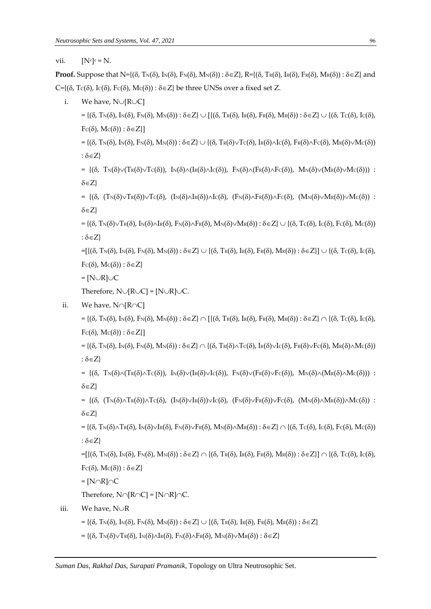vii.  $[N^c]^c = N$ .

**Proof.** Suppose that  $N = \{(\delta, T_N(\delta), I_N(\delta), F_N(\delta), M_N(\delta)) : \delta \in \mathbb{Z}\}, R = \{(\delta, T_R(\delta), I_R(\delta), F_R(\delta), M_R(\delta)) : \delta \in \mathbb{Z}\}$  and  $C=\{(δ, Tc(δ), Ic(δ), Fc(δ), Mc(δ)): δ\in Z\}$  be three UNSs over a fixed set Z.

i. We have,  $N\cup[R\cup C]$ 

 $= \{(\delta, T_N(\delta), I_N(\delta), F_N(\delta), M_N(\delta)) : \delta \in \mathbb{Z}\} \cup [\{(\delta, T_R(\delta), F_R(\delta), F_R(\delta), M_R(\delta)) : \delta \in \mathbb{Z}\} \cup \{(\delta, T_C(\delta), I_C(\delta), F_R(\delta), T_R(\delta), H_R(\delta)) : \delta \in \mathbb{Z}\}$  $Fc(\delta), Mc(\delta)) : \delta \in \mathbb{Z}$ ]

 $= \{(\delta, T_N(\delta), \mathrm{In}(\delta), \mathrm{F}_N(\delta), \mathrm{M}_N(\delta)) : \delta \in \mathbb{Z}\} \cup \{(\delta, T_R(\delta) \vee T_C(\delta), \mathrm{In}(\delta) \wedge \mathrm{Ic}(\delta), \mathrm{F}_R(\delta) \wedge \mathrm{F}_C(\delta), \mathrm{M}_R(\delta) \vee \mathrm{M}_C(\delta)\}$ :  $\delta \in Z$ }

= { $(\delta, T_N(\delta) \vee (T_R(\delta) \vee T_C(\delta)), I_N(\delta) \wedge (I_R(\delta) \wedge I_C(\delta)), F_N(\delta) \wedge (F_R(\delta) \wedge F_C(\delta)), M_N(\delta) \vee (M_R(\delta) \vee M_C(\delta)))$  :  $\delta \in Z$ 

=  $\{(\delta, (T_N(\delta))\vee T_R(\delta))\vee T_C(\delta), (I_N(\delta)\wedge I_R(\delta))\wedge I_C(\delta), (F_N(\delta)\wedge F_R(\delta))\wedge F_C(\delta), (M_N(\delta)\vee M_R(\delta))\vee M_C(\delta))\}$ :  $\delta \in Z$ 

 $= \{(\delta, T_N(\delta)\vee T_R(\delta), \mathrm{In}(\delta)\wedge \mathrm{In}(\delta), F_N(\delta)\wedge F_R(\delta), M_N(\delta)\vee M_R(\delta)) : \delta \in Z\} \cup \{(\delta, T_C(\delta), \mathrm{I}_C(\delta), F_C(\delta), M_C(\delta))\}$ :  $\delta \in Z$ }

 $=$ [{( $\delta$ , T<sub>N</sub>( $\delta$ ), I<sub>N</sub>( $\delta$ ),  $F_N(\delta)$ ,  $M_N(\delta)$ ) :  $\delta \in Z$ }  $\cup$  {( $\delta$ , T<sub>R</sub>( $\delta$ ), I<sub>R</sub>( $\delta$ ), I<sub>R</sub>( $\delta$ ),  $M_R(\delta)$ ) :  $\delta \in Z$ }]  $\cup$  {( $\delta$ , T<sub>C</sub>( $\delta$ ), I<sub>C</sub>( $\delta$ ),  $Fc(\delta), Mc(\delta)) : \delta \in Z$ 

 $=[N\cup R]\cup C$ 

Therefore,  $N\cup [R\cup C] = [N\cup R]\cup C$ .

ii. We have,  $N\cap [R\cap C]$ 

 $=\{(\delta, T_N(\delta), \mathrm{Im}(\delta), \mathrm{F}_N(\delta), \mathrm{M}_N(\delta)) : \delta \in \mathbb{Z}\}\cap [\{(\delta, T_R(\delta), \mathrm{I}_R(\delta), \mathrm{F}_R(\delta), \mathrm{M}_R(\delta)) : \delta \in \mathbb{Z}\}\cap \{(\delta, T_C(\delta), \mathrm{I}_C(\delta), \mathrm{H}_C(\delta))\}$  $Fc(\delta)$ ,  $Mc(\delta)) : \delta \in Z$ ]

 $= \{(\delta, T_N(\delta), I_N(\delta), F_N(\delta), M_N(\delta)) : \delta \in \mathbb{Z} \} \cap \{(\delta, T_R(\delta) \wedge T_C(\delta), I_R(\delta) \vee I_C(\delta), F_R(\delta) \vee F_C(\delta), M_R(\delta) \wedge M_C(\delta))\}$ :  $\delta \in Z$ 

=  $\{(\delta, T_N(\delta)\wedge(T_R(\delta)\wedge T_C(\delta)), I_N(\delta)\vee I_R(\delta)\vee I_C(\delta)), F_N(\delta)\vee F_R(\delta)\vee F_C(\delta)), M_N(\delta)\wedge (M_R(\delta)\wedge M_C(\delta)))\}$ :  $\delta \in Z$ 

=  $\{(\delta, (T_N(\delta)\wedge T_R(\delta)))\wedge T_C(\delta), (I_N(\delta)\vee I_R(\delta))\vee I_C(\delta), (F_N(\delta)\vee F_R(\delta))\vee F_C(\delta), (M_N(\delta)\wedge M_R(\delta))\wedge M_C(\delta))\}$ :  $\delta \in Z$ }

 $= \{(\delta, T_N(\delta)\wedge T_R(\delta), \Im(\delta)\vee \Im(\delta), F_N(\delta)\vee F_R(\delta), M_N(\delta)\wedge M_R(\delta)) : \delta \in \mathbb{Z}\} \cap \{(\delta, T(\delta), \Im(\delta), F(\delta), M(\delta))\}$ :  $\delta \in Z$ }

```
=[{(\delta, T<sub>N</sub>(\delta), I<sub>N</sub>(\delta), F_N(\delta), M<sub>N</sub>(\delta)) : \delta \in Z} \cap {(\delta, T_R(\delta), I<sub>R</sub>(\delta), F_R(\delta), F_R(\delta), I\delta(\delta)) : \delta \in Z} \cap {(\delta, T\subset(\delta), I\subset(\delta),
Fc(\delta), Mc(\delta)) : \delta \in Z}
```
 $=[N\cap R]\cap C$ 

Therefore,  $N\cap[R\cap C] = [N\cap R]\cap C$ .

iii. We have,  $N\cup R$ 

 $= \{(\delta, T_N(\delta), I_N(\delta), F_N(\delta), M_N(\delta)) : \delta \in \mathbb{Z}\} \cup \{(\delta, T_R(\delta), I_R(\delta), F_R(\delta), M_R(\delta)) : \delta \in \mathbb{Z}\}\$ 

 $=\{(\delta, T_N(\delta)\sqrt{T_R(\delta)}, I_N(\delta)\wedge I_R(\delta), F_N(\delta)\wedge F_R(\delta), M_N(\delta)\vee M_R(\delta)):\delta\in\mathbb{Z}\}\$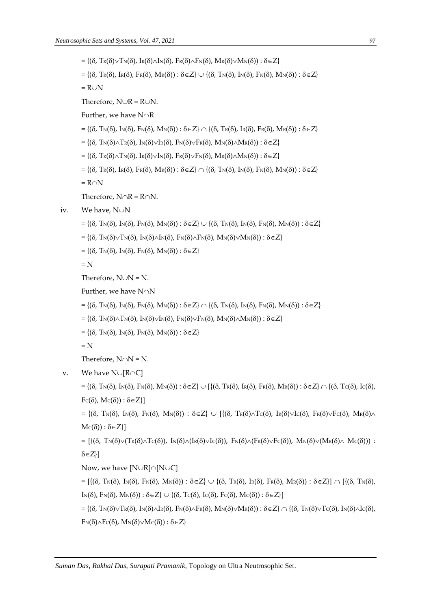$=\{(\delta, \text{Tr}(\delta)\vee\text{Tr}(\delta), \text{Tr}(\delta)\wedge\text{Tr}(\delta), \text{Fr}(\delta)\wedge\text{Fr}(\delta), \text{Mr}(\delta)\vee\text{Mr}(\delta)): \delta\in\mathbb{Z}\}\$  $=\{(\delta, \text{Tr}(\delta), \text{Tr}(\delta), \text{Fr}(\delta), \text{Mr}(\delta)): \delta \in \mathbb{Z}\} \cup \{(\delta, \text{Tr}(\delta), \text{Tr}(\delta), \text{Fr}(\delta), \text{Mr}(\delta)): \delta \in \mathbb{Z}\}\$  $= R \cup N$ Therefore,  $N\cup R = R\cup N$ . Further, we have  $N\cap R$  $=\{(\delta, T_N(\delta), I_N(\delta), F_N(\delta), M_N(\delta)) : \delta \in \mathbb{Z}\}\cap \{(\delta, T_R(\delta), I_R(\delta), F_R(\delta), M_R(\delta)) : \delta \in \mathbb{Z}\}\$  $=\{(\delta, T_N(\delta)\wedge T_R(\delta), \Im(\delta)\vee\Im(\delta), \Im(\delta)\vee\Im(\delta), \Im(\delta)\wedge\Im(\delta)) : \delta\in\mathbb{Z}\}\$  $=\{(\delta, \text{Tr}(\delta)\wedge\text{Tr}(\delta), \text{Tr}(\delta)\vee\text{Tr}(\delta), \text{Tr}(\delta)\vee\text{Tr}(\delta), \text{Tr}(\delta)\wedge\text{Mr}(\delta)) : \delta\in\mathbb{Z}\}\$  $=\{(\delta, \text{Tr}(\delta), \text{Tr}(\delta), \text{Tr}(\delta), \text{Mr}(\delta)): \delta \in \mathbb{Z}\}\cap \{(\delta, \text{Tr}(\delta), \text{Tr}(\delta), \text{Fr}(\delta), \text{Mr}(\delta)): \delta \in \mathbb{Z}\}\$  $= R \cap N$ Therefore,  $N\cap R = R\cap N$ . iv. We have,  $N\cup N$  $=\{(\delta, \text{Tr}(\delta), \text{Tr}(\delta), \text{F}_N(\delta), \text{Mr}(\delta)): \delta \in \mathbb{Z}\} \cup \{(\delta, \text{Tr}(\delta), \text{Tr}(\delta), \text{F}_N(\delta), \text{Mr}(\delta)): \delta \in \mathbb{Z}\}\$  $=\{(\delta, T_N(\delta)\vee T_N(\delta), I_N(\delta)\wedge I_N(\delta), F_N(\delta)\wedge F_N(\delta), M_N(\delta)\vee M_N(\delta)):\delta\in\mathbb{Z}\}\$  $=\{(\delta, T_N(\delta), I_N(\delta), F_N(\delta), M_N(\delta)) : \delta \in \mathbb{Z}\}\$  $= N$ Therefore,  $N\cup N = N$ . Further, we have  $N\cap N$  $= \{(\delta, T_N(\delta), \mathrm{In}(\delta), \mathrm{F}_N(\delta), \mathrm{M}_N(\delta)) : \delta \in \mathbb{Z} \} \cap \{(\delta, T_N(\delta), \mathrm{I}_N(\delta), \mathrm{F}_N(\delta), \mathrm{M}_N(\delta)) : \delta \in \mathbb{Z} \}$  $=\{(\delta, T_N(\delta)\wedge T_N(\delta), \Im(\delta)\vee\Im(\delta), \Im(\delta)\vee\Im(\delta), \Im(\delta)\wedge\Im(\delta)) : \delta\in\mathbb{Z}\}\$  $=\{(\delta, T_N(\delta), I_N(\delta), F_N(\delta), M_N(\delta)) : \delta \in \mathbb{Z}\}\$  $= N$ Therefore,  $N \cap N = N$ . v. We have  $N\cup[R\cap C]$  $= \{(\delta, T_N(\delta), I_N(\delta), F_N(\delta), M_N(\delta)) : \delta \in \mathbb{Z}\} \cup [\{(\delta, T_R(\delta), I_R(\delta), F_R(\delta), M_R(\delta)) : \delta \in \mathbb{Z}\} \cap \{(\delta, T_C(\delta), I_C(\delta), H_S(\delta)) : \delta \in \mathbb{Z}\}$  $F_C(\delta)$ ,  $Mc(\delta)$ ) :  $\delta \in Z$ ]  $= \{(\delta, T_N(\delta), \mathcal{I}_N(\delta), \mathcal{F}_N(\delta), \mathcal{M}_N(\delta)) : \delta \in \mathbb{Z} \} \cup \{(\delta, T_R(\delta) \wedge T_C(\delta), \mathcal{I}_R(\delta) \vee T_C(\delta), \mathcal{F}_R(\delta) \vee T_C(\delta), \mathcal{M}_R(\delta) \wedge T_C(\delta))\}$  $Mc(\delta)) : \delta \in Z\}$ =  $[(\delta, T_N(\delta)\vee(T_R(\delta)\wedge T_C(\delta)), I_N(\delta)\wedge(I_R(\delta)\vee I_C(\delta)), F_N(\delta)\wedge(F_R(\delta)\vee F_C(\delta)), M_N(\delta)\vee(M_R(\delta)\wedge M_C(\delta)))$  :  $\delta \in Z$ ] Now, we have  $[N\cup R]\cap[N\cup C]$ 

 $= [\{(\delta, T_N(\delta), \mathrm{In}(\delta), \mathrm{F_N(\delta)}, \mathrm{M_N(\delta)}) : \delta \in \mathrm{Z} \} \cup \{(\delta, T_R(\delta), \mathrm{I_R(\delta)}, \mathrm{F_R(\delta)}, \mathrm{M_R(\delta)}) : \delta \in \mathrm{Z} \}] \cap [\{(\delta, T_N(\delta), \mathrm{H_N(\delta)}, \mathrm{M_N(\delta)}) : \delta \in \mathrm{Z} \}].$  $I_N(\delta)$ ,  $F_N(\delta)$ ,  $M_N(\delta)$ ) :  $\delta \in Z$   $\cup$   $\{(\delta, T_C(\delta), I_C(\delta), F_C(\delta), M_C(\delta))$  :  $\delta \in Z\}$ 

 $= \{(\delta, T_N(\delta)\vee T_R(\delta), I_N(\delta)\wedge I_R(\delta), F_N(\delta)\wedge F_R(\delta), M_N(\delta)\vee M_R(\delta)): \delta \in \mathbb{Z}\} \cap \{(\delta, T_N(\delta)\vee T_C(\delta), I_N(\delta)\wedge I_C(\delta), H_N(\delta)\wedge T_R(\delta)\wedge H_N(\delta)\}\$  $F_N(\delta) \wedge F_C(\delta)$ ,  $M_N(\delta) \vee M_C(\delta)$  :  $\delta \in Z$ }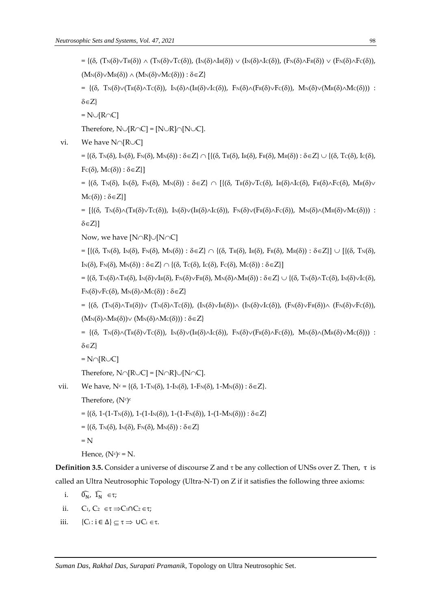$= \{(\delta, (T_N(\delta))\vee T_R(\delta)) \wedge (T_N(\delta)\vee T_C(\delta)), (I_N(\delta)\wedge I_R(\delta)) \vee (I_N(\delta)\wedge I_C(\delta)), (F_N(\delta)\wedge F_R(\delta)) \vee (F_N(\delta)\wedge F_C(\delta)),$  $(M_N(\delta) \vee M_R(\delta)) \wedge (M_N(\delta) \vee M_C(\delta))) : \delta \in Z$ 

= { $(\delta, T_N(\delta)\vee(T_R(\delta)\wedge T_C(\delta)), I_N(\delta)\wedge(I_R(\delta)\vee I_C(\delta)), F_N(\delta)\wedge(F_R(\delta)\vee F_C(\delta)), M_N(\delta)\vee(M_R(\delta)\wedge M_C(\delta)))$  :  $\delta \in Z$ 

 $= N \cup [R \cap C]$ 

Therefore,  $N\cup[R\cap C] = [N\cup R]\cap[N\cup C]$ .

vi. We have  $N\cap[R\cup C]$ 

 $= \{(\delta, T_N(\delta), I_N(\delta), F_N(\delta), M_N(\delta)) : \delta \in \mathbb{Z}\} \cap [\{(\delta, T_R(\delta), I_R(\delta), F_R(\delta), M_R(\delta)) : \delta \in \mathbb{Z}\} \cup \{(\delta, T_C(\delta), I_C(\delta), H_S(\delta), H_S(\delta), H_S(\delta), H_S(\delta)) : \delta \in \mathbb{Z}\}$  $Fc(\delta), Mc(\delta)) : \delta \in \mathbb{Z}$ ]

 $= \{(\delta, T_N(\delta), \Im(\delta), \Im(\delta), \Im(\delta)) \mid \delta \in \mathbb{Z}\} \cap \{(\delta, T_R(\delta) \vee T_C(\delta), \Im(\delta)) \vee T_C(\delta), \Im(\delta) \vee T_C(\delta), \delta \in \mathbb{Z}\}$  $Mc(\delta)) : \delta \in Z\}$ 

=  $[\{(\delta, T_N(\delta) \wedge (T_R(\delta) \vee T_C(\delta)), I_N(\delta) \vee (I_R(\delta) \wedge I_C(\delta)), F_N(\delta) \vee (F_R(\delta) \wedge F_C(\delta)), M_N(\delta) \wedge (M_R(\delta) \vee M_C(\delta)))$ :  $\delta \in Z$ }]

Now, we have  $[N \cap R] \cup [N \cap C]$ 

 $= [\{(\delta, T_N(\delta), \mathrm{I}_N(\delta), \mathrm{F}_N(\delta), \mathrm{M}_N(\delta)) : \delta \in \mathrm{Z} \} \cap \{(\delta, T_R(\delta), \mathrm{I}_R(\delta), \mathrm{F}_R(\delta), \mathrm{M}_R(\delta)) : \delta \in \mathrm{Z} \} ] \cup [\{(\delta, T_N(\delta), \mathrm{M}_N(\delta), \mathrm{M}_N(\delta)) : \delta \in \mathrm{Z} \}$  $I_N(\delta)$ ,  $F_N(\delta)$ ,  $M_N(\delta)$ ) :  $\delta \in Z$ }  $\cap$  {( $\delta$ ,  $T_C(\delta)$ ,  $I_C(\delta)$ ,  $F_C(\delta)$ ,  $M_C(\delta)$ ) :  $\delta \in Z$ }]

 $= \{(\delta, T_N(\delta) \wedge \text{Tr}(\delta), \text{Tr}(\delta) \vee \text{Tr}(\delta), \text{Fr}(\delta) \vee \text{Tr}(\delta), \text{Mr}(\delta) \wedge \text{Mr}(\delta)), \delta \in \mathbb{Z} \} \cup \{(\delta, T_N(\delta) \wedge \text{Tr}(\delta), \text{Ir}(\delta) \vee \text{Tr}(\delta), \text{Tr}(\delta) \vee \text{Tr}(\delta), \text{Tr}(\delta) \vee \text{Tr}(\delta), \text{Tr}(\delta) \vee \text{Tr}(\delta), \text{Tr}(\delta) \vee \text{Tr}(\delta), \text{Tr}(\delta) \vee$  $F_N(\delta) \vee F_C(\delta)$ ,  $M_N(\delta) \wedge M_C(\delta)$  :  $\delta \in Z$ }

=  $\{(\delta, (T_N(\delta))\vee (T_N(\delta))\vee (T_N(\delta)\wedge T_C(\delta))), (I_N(\delta)\vee I_N(\delta))\wedge (I_N(\delta)\vee I_C(\delta))), (F_N(\delta)\vee F_N(\delta))\wedge (F_N(\delta)\vee F_C(\delta))),$  $(M_N(\delta) \wedge M_R(\delta)) \vee (M_N(\delta) \wedge M_C(\delta))) : \delta \in Z$ 

=  $\{(\delta, T_N(\delta)\setminus T_K(\delta)\setminus T_C(\delta)), \Im_N(\delta)\setminus (I_K(\delta)\setminus I_C(\delta)), \Im_N(\delta)\setminus (F_K(\delta)\setminus F_C(\delta)), \Im_N(\delta)\setminus (M_K(\delta)\setminus M_C(\delta)))\}$  $\delta \in Z$ 

 $=N\cap[R\cup C]$ 

Therefore,  $N\cap[R\cup C] = [N\cap R]\cup[N\cap C]$ .

vii. We have,  $N_c = \{(\delta, 1-T_N(\delta), 1-I_N(\delta), 1-F_N(\delta), 1-M_N(\delta)) : \delta \in \mathbb{Z}\}.$ 

Therefore,  $(N^c)^c$ 

- $= \{(\delta, 1-(1-T_N(\delta)), 1-(1-I_N(\delta)), 1-(1-F_N(\delta)), 1-(1-M_N(\delta))) : \delta \in \mathbb{Z}\}\$
- $=\{(\delta, T_N(\delta), I_N(\delta), F_N(\delta), M_N(\delta)) : \delta \in \mathbb{Z}\}\$
- $= N$

```
Hence, (N^c)^c = N.
```
**Definition 3.5.** Consider a universe of discourse Z and *τ* be any collection of UNSs over Z. Then, *τ* is called an Ultra Neutrosophic Topology (Ultra-N-T) on Z if it satisfies the following three axioms:

i. 
$$
\widehat{0_N}
$$
,  $\widehat{1_N} \in \tau$ ;

- ii.  $C_1, C_2 \in \tau \Rightarrow C_1 \cap C_2 \in \tau;$
- iii.  ${C_i : i \in \Delta}$   $\subseteq$   $\tau \Rightarrow \cup C_i \in \tau$ .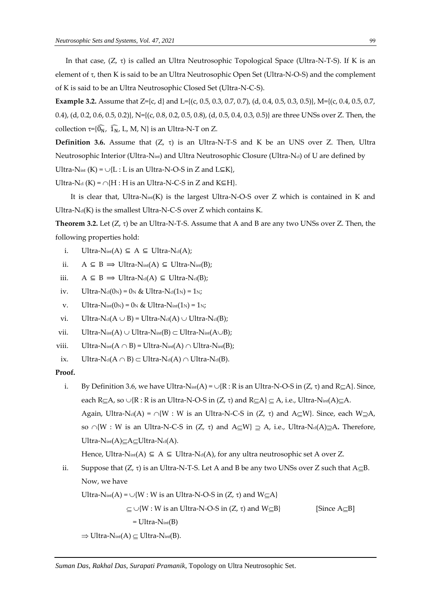In that case,  $(Z, \tau)$  is called an Ultra Neutrosophic Topological Space (Ultra-N-T-S). If K is an element of  $\tau$ , then K is said to be an Ultra Neutrosophic Open Set (Ultra-N-O-S) and the complement of K is said to be an Ultra Neutrosophic Closed Set (Ultra-N-C-S).

**Example 3.2.** Assume that Z={c, d} and L={(c, 0.5, 0.3, 0.7, 0.7), (d, 0.4, 0.5, 0.3, 0.5)}, M={(c, 0.4, 0.5, 0.7, 0.4), (d, 0.2, 0.6, 0.5, 0.2)}, N={(c, 0.8, 0.2, 0.5, 0.8), (d, 0.5, 0.4, 0.3, 0.5)} are three UNSs over Z. Then, the collection  $\tau = {\{\widehat{0}_N, \ \widehat{1}_N, \ L, M, N\}}$  is an Ultra-N-T on Z.

**Definition 3.6.** Assume that  $(Z, \tau)$  is an Ultra-N-T-S and K be an UNS over Z. Then, Ultra Neutrosophic Interior (Ultra-N<sub>int</sub>) and Ultra Neutrosophic Closure (Ultra-Nd) of U are defined by Ultra-N<sub>int</sub> (K) =  $\cup$ {L : L is an Ultra-N-O-S in Z and L⊆K},

Ultra-N<sub>cl</sub> (K) =  $\cap$ {H : H is an Ultra-N-C-S in Z and K⊆H}.

It is clear that, Ultra-N<sub>int</sub>(K) is the largest Ultra-N-O-S over Z which is contained in K and Ultra- $N_{cl}(K)$  is the smallest Ultra-N-C-S over Z which contains K.

**Theorem 3.2.** Let  $(Z, \tau)$  be an Ultra-N-T-S. Assume that A and B are any two UNSs over Z. Then, the following properties hold:

- i. Ultra-N<sub>int</sub>(A)  $\subseteq$  A  $\subseteq$  Ultra-N<sub>cl</sub>(A);
- ii.  $A \subseteq B \implies \text{Ultra-Nint}(A) \subseteq \text{Ultra-Nint}(B);$
- iii.  $A \subseteq B \implies \text{Ultra-Ncl}(A) \subseteq \text{Ultra-Ncl}(B);$
- iv. Ultra-N<sub>cl</sub>(0<sub>N</sub>) = 0<sub>N</sub> & Ultra-N<sub>cl</sub>(1<sub>N</sub>) = 1<sub>N</sub>;
- v. Ultra-N<sub>int</sub> $(0_N) = 0_N$  & Ultra-N<sub>int</sub> $(1_N) = 1_N$ ;
- vi. Ultra-N<sub>cl</sub>( $A \cup B$ ) = Ultra-N<sub>cl</sub>(A)  $\cup$  Ultra-N<sub>cl</sub>(B);
- vii. Ultra-Nint(A)  $\cup$  Ultra-Nint(B)  $\subset$  Ultra-Nint(A $\cup$ B);
- viii. Ultra-Nint $(A \cap B)$  = Ultra-Nint $(A) \cap$  Ultra-Nint $(B)$ ;
- ix. Ultra-Ncl( $A \cap B$ )  $\subset$  Ultra-Ncl( $A$ )  $\cap$  Ultra-Ncl( $B$ ).

# **Proof.**

i. By Definition 3.6, we have Ultra-Nint(A) =  $\cup$ {R : R is an Ultra-N-O-S in (Z,  $\tau$ ) and R $\subseteq$ A}. Since, each R $\subseteq$ A, so  $\cup$ {R : R is an Ultra-N-O-S in  $(Z, \tau)$  and R $\subseteq$ A}  $\subseteq$  A, i.e., Ultra-Nint(A) $\subseteq$ A. Again, Ultra-N<sub>d</sub>(A) =  $\cap$ {W : W is an Ultra-N-C-S in (Z,  $\tau$ ) and A $\subseteq$ W}. Since, each W $\supseteq$ A, so  $\cap$ {W : W is an Ultra-N-C-S in (Z,  $\tau$ ) and A $\subseteq$ W}  $\supseteq$  A, i.e., Ultra-N<sub>cl</sub>(A) $\supseteq$ A. Therefore, Ultra-Nint $(A) \subseteq A \subseteq U$ ltra-Ncl $(A)$ .

Hence, Ultra-N<sub>int</sub>(A)  $\subseteq$  A  $\subseteq$  Ultra-N<sub>cl</sub>(A), for any ultra neutrosophic set A over Z.

ii. Suppose that  $(Z, \tau)$  is an Ultra-N-T-S. Let A and B be any two UNSs over Z such that  $A \subseteq B$ . Now, we have

Ultra-N<sub>int</sub>(A) = 
$$
\cup
$$
{W : W is an Ultra-N-O-S in (Z,  $\tau$ ) and W<sub>subseteq</sub>A}

*Suman Das*, *Rakhal Das*, *Surapati Pramanik*, Topology on Ultra Neutrosophic Set.

 $\subseteq \cup \{W : W \text{ is an Ultra-N-O-S in } (Z, \tau) \text{ and } W \subseteq B\}$  [Since A $\subseteq$ B]

```
= Ultra-Nint(B)
```

```
\Rightarrow Ultra-Nint(A) \subset Ultra-Nint(B).
```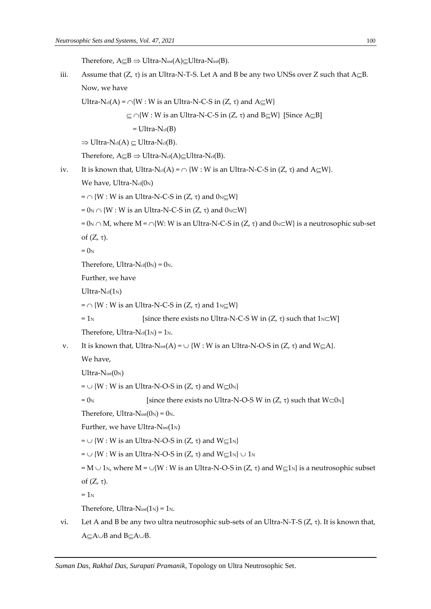Therefore,  $A \subseteq B \Rightarrow$  Ultra-Nint(A) $\subseteq$ Ultra-Nint(B).

iii. Assume that  $(Z, \tau)$  is an Ultra-N-T-S. Let A and B be any two UNSs over Z such that  $A \subseteq B$ . Now, we have

Ultra-N<sub>cl</sub>(A) =  $\cap$ {W : W is an Ultra-N-C-S in (Z,  $\tau$ ) and A $\subseteq$ W}

 $\subset \cap \{W : W$  is an Ultra-N-C-S in  $(Z, \tau)$  and B $\subset W$ } [Since A $\subset$ B]

 $= Ultra-N<sub>cl</sub>(B)$ 

 $\Rightarrow$  Ultra-N<sub>cl</sub>(A)  $\subseteq$  Ultra-N<sub>cl</sub>(B).

Therefore,  $A \subset B \Rightarrow \text{Ultra-Ncl}(A) \subset \text{Ultra-Ncl}(B)$ .

```
iv. It is known that, Ultra-N<sub>cl</sub>(A) = \cap {W : W is an Ultra-N-C-S in (Z, \tau) and A\subseteqW}.
```
We have, Ultra- $N_{cl}(0_N)$ 

 $= \bigcap \{W : W \text{ is an Ultra-N-C-S in } (Z, \tau) \text{ and } 0_N \subset W\}$ 

 $= 0_N \cap \{W : W$  is an Ultra-N-C-S in  $(Z, \tau)$  and  $0_N \subset W\}$ 

=  $0_N \cap M$ , where  $M = \cap \{W: W$  is an Ultra-N-C-S in  $(Z, \tau)$  and  $0_N \subset W\}$  is a neutrosophic sub-set of  $(Z, \tau)$ .

 $= 0<sub>N</sub>$ 

Therefore, Ultra- $N_{cl}(0_N) = 0_N$ .

Further, we have

 $Ultra-N<sub>cl</sub>(1<sub>N</sub>)$ 

 $= \bigcap \{W : W \text{ is an Ultra-N-C-S in } (Z, \tau) \text{ and } 1_N \subseteq W\}$ 

 $= 1_N$  [since there exists no Ultra-N-C-S W in  $(Z, \tau)$  such that  $1_N \subset W$ ]

Therefore, Ultra- $N_{cl}(1_N) = 1_N$ .

```
v. It is known that, Ultra-Nint(A) = \cup {W : W is an Ultra-N-O-S in (Z, \tau) and W\subseteqA}.
```
We have,

 $Ultra-Nint(0_N)$ 

=  $\cup$  {W : W is an Ultra-N-O-S in (Z,  $\tau$ ) and W $\subseteq$ 0<sub>N</sub>}

 $= 0_N$  [since there exists no Ultra-N-O-S W in (Z,  $\tau$ ) such that W $\subset 0_N$ ]

Therefore, Ultra- $N_{int}(0_N) = 0_N$ .

Further, we have Ultra- $N_{int}(1_N)$ 

=  $\cup$  {W : W is an Ultra-N-O-S in (Z,  $\tau$ ) and W $\subset$ 1<sub>N</sub>}

=  $\cup$  {W : W is an Ultra-N-O-S in (Z,  $\tau$ ) and W $\subseteq$ 1<sub>N</sub>}  $\cup$  1<sub>N</sub>

= M  $\cup$  1<sub>N</sub>, where M =  $\cup$ {W : W is an Ultra-N-O-S in (Z,  $\tau$ ) and W $\subseteq$ 1<sub>N</sub>} is a neutrosophic subset

of  $(Z, \tau)$ .

 $= 1<sub>N</sub>$ 

Therefore, Ultra- $N_{int}(1_N) = 1_N$ .

vi. Let A and B be any two ultra neutrosophic sub-sets of an Ultra-N-T-S  $(Z, \tau)$ . It is known that,  $A \subset A \cup B$  and  $B \subset A \cup B$ .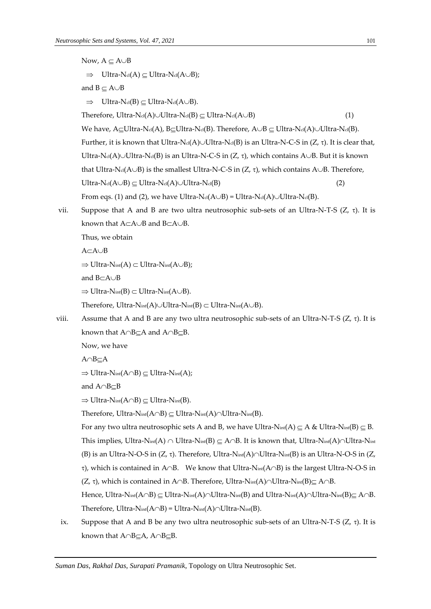Now,  $A \subset A \cup B$  $\Rightarrow$  Ultra-N<sub>cl</sub>(A)  $\subseteq$  Ultra-N<sub>cl</sub>(A $\cup$ B); and  $B \subseteq A \cup B$  $\Rightarrow$  Ultra-N<sub>cl</sub>(B)  $\subseteq$  Ultra-N<sub>cl</sub>(A $\cup$ B). Therefore, Ultra-N<sub>cl</sub>(A) $\cup$ Ultra-N<sub>cl</sub>(B)  $\subset$  Ultra-N<sub>cl</sub>(A $\cup$ B) (1) We have, A $\subseteq$ Ultra-Nd(A), B $\subseteq$ Ultra-Nd(B). Therefore, A $\cup$ B $\subseteq$  Ultra-Nd(A) $\cup$ Ultra-Nd(B). Further, it is known that Ultra-N $_{cl}(A)$  $\cup$ Ultra-N $_{cl}(B)$  is an Ultra-N-C-S in (Z,  $\tau$ ). It is clear that, Ultra-N<sub>d</sub>(A) $\cup$ Ultra-N<sub>d</sub>(B) is an Ultra-N-C-S in (Z,  $\tau$ ), which contains A $\cup$ B. But it is known that Ultra-N $c(A \cup B)$  is the smallest Ultra-N-C-S in  $(Z, \tau)$ , which contains A $\cup$ B. Therefore,  $Ultra-N<sub>cl</sub>(A \cup B) \subseteq Ultra-N<sub>cl</sub>(A) \cup Ultra-N<sub>cl</sub>(B)$  (2) From eqs. (1) and (2), we have Ultra-Ncl(A $\cup$ B) = Ultra-Ncl(A) $\cup$ Ultra-Ncl(B). vii. Suppose that A and B are two ultra neutrosophic sub-sets of an Ultra-N-T-S  $(Z, \tau)$ . It is known that  $A \subset A \cup B$  and  $B \subset A \cup B$ . Thus, we obtain  $A \subset A \cup B$  $\Rightarrow$  Ultra-Nint(A)  $\subset$  Ultra-Nint(A $\cup$ B); and  $BCA \cup B$  $\Rightarrow$  Ultra-Nint(B)  $\subset$  Ultra-Nint(A $\cup$ B). Therefore, Ultra-Nint(A) $\cup$ Ultra-Nint(B)  $\subset$  Ultra-Nint(A $\cup$ B). viii. Assume that A and B are any two ultra neutrosophic sub-sets of an Ultra-N-T-S  $(Z, \tau)$ . It is known that  $A \cap B \subseteq A$  and  $A \cap B \subseteq B$ . Now, we have  $A \cap B \subset A$  $\Rightarrow$  Ultra-Nint(A $\cap$ B)  $\subseteq$  Ultra-Nint(A); and  $A \cap B \subset B$  $\Rightarrow$  Ultra-Nint(A $\cap$ B)  $\subset$  Ultra-Nint(B). Therefore, Ultra-Nint(A $\cap$ B)  $\subseteq$  Ultra-Nint(A) $\cap$ Ultra-Nint(B). For any two ultra neutrosophic sets A and B, we have Ultra-Nint(A)  $\subseteq$  A & Ultra-Nint(B)  $\subseteq$  B. This implies, Ultra-Nint(A)  $\cap$  Ultra-Nint(B)  $\subseteq A \cap B$ . It is known that, Ultra-Nint(A) $\cap$ Ultra-Nint (B) is an Ultra-N-O-S in  $(Z, \tau)$ . Therefore, Ultra-Nint(A) $\cap$ Ultra-Nint(B) is an Ultra-N-O-S in  $(Z, \tau)$ .  $\tau$ ), which is contained in A $\cap$ B. We know that Ultra-N<sub>int</sub>(A $\cap$ B) is the largest Ultra-N-O-S in  $(Z, \tau)$ , which is contained in A $\cap$ B. Therefore, Ultra-Nint(A) $\cap$ Ultra-Nint(B) $\subseteq$  A $\cap$ B. Hence, Ultra-Nint $(A \cap B) \subseteq$  Ultra-Nint $(A) \cap$ Ultra-Nint $(B)$  and Ultra-Nint $(A) \cap$ Ultra-Nint $(B) \subseteq A \cap B$ . Therefore, Ultra-Nint( $A \cap B$ ) = Ultra-Nint( $A$ ) $\cap$ Ultra-Nint( $B$ ). ix. Suppose that A and B be any two ultra neutrosophic sub-sets of an Ultra-N-T-S  $(Z, \tau)$ . It is known that  $A \cap B \subset A$ ,  $A \cap B \subset B$ .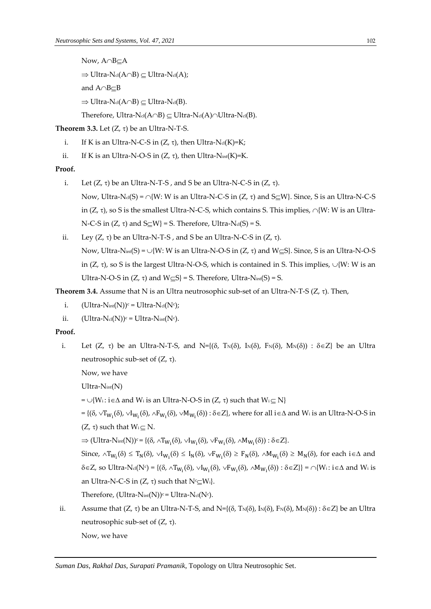Now,  $A \cap B \subset A$  $\Rightarrow$  Ultra-Ncl(A $\cap$ B)  $\subseteq$  Ultra-Ncl(A); and  $A \cap B \subset B$  $\Rightarrow$  Ultra-Ncl(A $\cap$ B)  $\subseteq$  Ultra-Ncl(B). Therefore, Ultra-Ncl(A $\cap$ B)  $\subset$  Ultra-Ncl(A) $\cap$ Ultra-Ncl(B).

**Theorem 3.3.** Let  $(Z, \tau)$  be an Ultra-N-T-S.

- i. If K is an Ultra-N-C-S in  $(Z, \tau)$ , then Ultra-N<sub>cl</sub>(K)=K;
- ii. If K is an Ultra-N-O-S in  $(Z, \tau)$ , then Ultra-Nint(K)=K.

#### **Proof.**

- i. Let  $(Z, \tau)$  be an Ultra-N-T-S, and S be an Ultra-N-C-S in  $(Z, \tau)$ . Now, Ultra-N<sub>d</sub>(S) =  $\cap$ {W: W is an Ultra-N-C-S in (Z,  $\tau$ ) and S $\subset$ W}. Since, S is an Ultra-N-C-S in (Z,  $\tau$ ), so S is the smallest Ultra-N-C-S, which contains S. This implies,  $\cap$ {W: W is an Ultra-N-C-S in  $(Z, \tau)$  and S $\subseteq$ W} = S. Therefore, Ultra-Nel(S) = S.
- ii. Ley  $(Z, \tau)$  be an Ultra-N-T-S, and S be an Ultra-N-C-S in  $(Z, \tau)$ . Now, Ultra-N<sub>int</sub>(S) =  $\cup$ {W: W is an Ultra-N-O-S in (Z,  $\tau$ ) and W $\subseteq$ S}. Since, S is an Ultra-N-O-S in  $(Z, \tau)$ , so S is the largest Ultra-N-O-S, which is contained in S. This implies,  $\cup$ {W: W is an Ultra-N-O-S in  $(Z, \tau)$  and  $W \subseteq S$  = S. Therefore, Ultra-N<sub>int</sub>(S) = S.

**Theorem 3.4.** Assume that N is an Ultra neutrosophic sub-set of an Ultra-N-T-S  $(Z, \tau)$ . Then,

- i.  $(\mathrm{Ultra\text{-}N}_{\mathrm{int}}(N))^c = \mathrm{Ultra\text{-}N}_{\mathrm{cl}}(N^c);$
- ii.  $(Ultra-N<sub>cl</sub>(N))<sup>c</sup> = Ultra-N<sub>int</sub>(N<sup>c</sup>).$

# **Proof.**

i. Let  $(Z, \tau)$  be an Ultra-N-T-S, and N={ $(\delta, T_N(\delta), I_N(\delta), F_N(\delta), M_N(\delta)) : \delta \in Z$ } be an Ultra neutrosophic sub-set of  $(Z, \tau)$ .

Now, we have

Ultra-Nint(N)

 $= \bigcup \{W_i : i \in \Delta \text{ and } W_i \text{ is an Ultra-N-O-S in } (Z, \tau) \text{ such that } W_i \subset N\}$ 

 $=\{(\delta,\vee T_{W_i}(\delta),\vee I_{W_i}(\delta),\wedge F_{W_i}(\delta),\vee M_{W_i}(\delta)):\delta\in Z\}$ , where for all  $i\in\Delta$  and  $W_i$  is an Ultra-N-O-S in  $(Z, \tau)$  such that  $W_i \subseteq N$ .

 $\Rightarrow$  (Ultra-Nint(N))<sup>c</sup> = {( $\delta$ ,  $\wedge$ T<sub>W<sub>i</sub></sub>( $\delta$ ),  $\vee$ I<sub>W<sub>i</sub></sub>( $\delta$ ),  $\vee$ F<sub>W<sub>i</sub>( $\delta$ ),  $\wedge$ M<sub>W<sub>i</sub>( $\delta$ )) :  $\delta$  ∈Z}.</sub></sub>

Since,  $\wedge T_{W_i}(\delta) \leq T_N(\delta)$ ,  $\vee I_{W_i}(\delta) \leq I_N(\delta)$ ,  $\vee F_{W_i}(\delta) \geq F_N(\delta)$ ,  $\wedge M_{W_i}(\delta) \geq M_N(\delta)$ , for each i  $\in \Delta$  and  $\delta \in Z$ , so Ultra-N<sub>d</sub>(N<sup>c</sup>) = { $(\delta, \land T_{W_i}(\delta), \lor I_{W_i}(\delta), \lor F_{W_i}(\delta), \land M_{W_i}(\delta)) : \delta \in Z$ }} =  $\cap \{W_i : i \in \Delta \text{ and } W_i \text{ is }$ an Ultra-N-C-S in  $(Z, \tau)$  such that  $N^c \subseteq W_i$ .

Therefore, (Ultra- $N_{int}(N)$ ) $c = U$ ltra- $N_{cd}(Nc)$ .

ii. Assume that  $(Z, \tau)$  be an Ultra-N-T-S, and N={ $(\delta, T_N(\delta), I_N(\delta), F_N(\delta), M_N(\delta))$  :  $\delta \in Z$ } be an Ultra neutrosophic sub-set of  $(Z, \tau)$ . Now, we have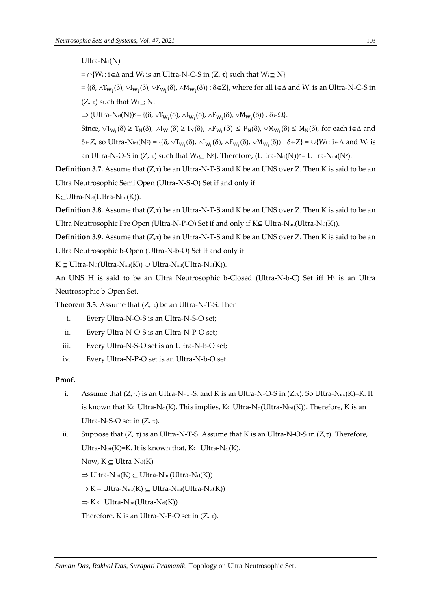$Ultra-N<sub>cl</sub>(N)$  $= \bigcap \{W_i : i \in \Delta \text{ and } W_i \text{ is an Ultra-N-C-S in } (Z, \tau) \text{ such that } W_i \supseteq N\}$  $=\{(\delta,\wedge T_{W_i}(\delta),\vee I_{W_i}(\delta),\vee F_{W_i}(\delta),\wedge M_{W_i}(\delta)):\delta\in Z\}$ , where for all  $i\in\Delta$  and  $W_i$  is an Ultra-N-C-S in  $(Z, \tau)$  such that  $W_i \supset N$ .  $\Rightarrow$  (Ultra-N<sub>cl</sub>(N))<sup>c</sup> = {( $\delta$ ,  $\vee T_{W_i}(\delta)$ ,  $\wedge I_{W_i}(\delta)$ ,  $\wedge F_{W_i}(\delta)$ ,  $\vee M_{W_i}(\delta)$ ) :  $\delta \in \Omega$  }. Since,  $\vee T_{W_i}(\delta) \ge T_N(\delta)$ ,  $\wedge I_{W_i}(\delta) \ge I_N(\delta)$ ,  $\wedge F_{W_i}(\delta) \le F_N(\delta)$ ,  $\vee M_{W_i}(\delta) \le M_N(\delta)$ , for each i  $\in \Delta$  and  $\delta \in Z$ , so Ultra-Nint $(N^c) = \{(\delta, \vee T_{W_i}(\delta), \wedge I_{W_i}(\delta), \wedge F_{W_i}(\delta), \vee M_{W_i}(\delta)) : \delta \in Z\} = \cup \{W_i : i \in \Delta \text{ and } W_i \text{ is }$ an Ultra-N-O-S in (Z, τ) such that  $W_i \subseteq N^c$ }. Therefore, (Ultra-N $d(N)$ )<sup>c</sup> = Ultra-N $int(N^c)$ .

**Definition 3.7.** Assume that  $(Z,\tau)$  be an Ultra-N-T-S and K be an UNS over Z. Then K is said to be an Ultra Neutrosophic Semi Open (Ultra-N-S-O) Set if and only if

 $K \subseteq U$ ltra-Ncl(Ultra-Nint(K)).

**Definition 3.8.** Assume that  $(Z,\tau)$  be an Ultra-N-T-S and K be an UNS over Z. Then K is said to be an Ultra Neutrosophic Pre Open (Ultra-N-P-O) Set if and only if K⊆ Ultra-N<sub>int</sub>(Ultra-N<sub>cl</sub>(K)).

**Definition 3.9.** Assume that  $(Z,\tau)$  be an Ultra-N-T-S and K be an UNS over Z. Then K is said to be an Ultra Neutrosophic b-Open (Ultra-N-b-O) Set if and only if

 $K \subseteq$  Ultra-Nel(Ultra-Nint(K))  $\cup$  Ultra-Nint(Ultra-Nel(K)).

An UNS H is said to be an Ultra Neutrosophic b-Closed (Ultra-N-b-C) Set iff H $\epsilon$  is an Ultra Neutrosophic b-Open Set.

**Theorem 3.5.** Assume that  $(Z, \tau)$  be an Ultra-N-T-S. Then

- i. Every Ultra-N-O-S is an Ultra-N-S-O set;
- ii. Every Ultra-N-O-S is an Ultra-N-P-O set;
- iii. Every Ultra-N-S-O set is an Ultra-N-b-O set;
- iv. Every Ultra-N-P-O set is an Ultra-N-b-O set.

# **Proof.**

- i. Assume that  $(Z, \tau)$  is an Ultra-N-T-S, and K is an Ultra-N-O-S in  $(Z, \tau)$ . So Ultra-N<sub>int</sub>(K)=K. It is known that K $\subseteq$ Ultra-N<sub>cl</sub>(K). This implies, K $\subseteq$ Ultra-N<sub>cl</sub>(Ultra-N<sub>int</sub>(K)). Therefore, K is an Ultra-N-S-O set in  $(Z, \tau)$ .
- ii. Suppose that  $(Z, \tau)$  is an Ultra-N-T-S. Assume that K is an Ultra-N-O-S in  $(Z, \tau)$ . Therefore, Ultra-N<sub>int</sub>(K)=K. It is known that,  $K \subset$  Ultra-N<sub>cl</sub>(K).

Now,  $K \subset Ultra-N<sub>cl</sub>(K)$ 

- $\Rightarrow$  Ultra-Nint(K)  $\subset$  Ultra-Nint(Ultra-Nel(K))
- $\Rightarrow$  K = Ultra-Nint(K)  $\subset$  Ultra-Nint(Ultra-Ncl(K))
- $\Rightarrow K \subseteq Ultra-N<sub>int</sub>(Ultra-N<sub>cl</sub>(K))$

Therefore, K is an Ultra-N-P-O set in  $(Z, \tau)$ .